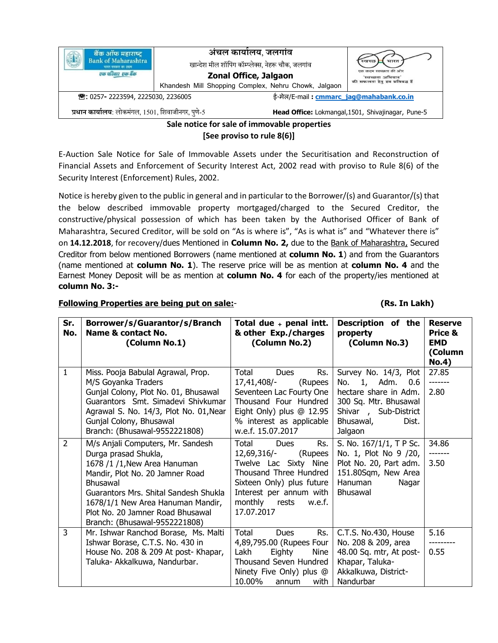| बैंक ऑफ महाराष्ट्र<br>Bank of Maharashtra<br>भारत सरकार का उद्यम<br>एक परिवार एक बैंक | अंचल कार्यालय, जलगांव<br>खान्देश मील शॉपिंग कॉम्प्लेक्स, नेहरू चौक, जलगांव<br>Zonal Office, Jalgaon<br>Khandesh Mill Shopping Complex, Nehru Chowk, Jalgaon |                                                    | स्वच्छ<br>भारत<br>एक कदम स्वच्छता की ओर<br>'स्वच्छता अभियान'<br>की सफलता हेतु हम प्रतिबद्ध हैं |  |  |
|---------------------------------------------------------------------------------------|-------------------------------------------------------------------------------------------------------------------------------------------------------------|----------------------------------------------------|------------------------------------------------------------------------------------------------|--|--|
| ☎: 0257-2223594, 2225030, 2236005                                                     |                                                                                                                                                             | ई-मेल/E-mail: cmmarc jag@mahabank.co.in            |                                                                                                |  |  |
| प्रधान कार्यालय: लोकमंगल, 1501, शिवाजीनगर, पुणे-5                                     |                                                                                                                                                             | Head Office: Lokmangal, 1501, Shivajinagar, Pune-5 |                                                                                                |  |  |
| Sale notice for sale of immovable properties                                          |                                                                                                                                                             |                                                    |                                                                                                |  |  |

**[See proviso to rule 8(6)]**

E-Auction Sale Notice for Sale of Immovable Assets under the Securitisation and Reconstruction of Financial Assets and Enforcement of Security Interest Act, 2002 read with proviso to Rule 8(6) of the Security Interest (Enforcement) Rules, 2002.

Notice is hereby given to the public in general and in particular to the Borrower/(s) and Guarantor/(s) that the below described immovable property mortgaged/charged to the Secured Creditor, the constructive/physical possession of which has been taken by the Authorised Officer of Bank of Maharashtra, Secured Creditor, will be sold on "As is where is", "As is what is" and "Whatever there is" on **14.12.2018**, for recovery/dues Mentioned in **Column No. 2,** due to the Bank of Maharashtra, Secured Creditor from below mentioned Borrowers (name mentioned at **column No. 1**) and from the Guarantors (name mentioned at **column No. 1**). The reserve price will be as mention at **column No. 4** and the Earnest Money Deposit will be as mention at **column No. 4** for each of the property/ies mentioned at **column No. 3:-**

## **Following Properties are being put on sale:**- **(Rs. In Lakh)**

| Sr.<br>No.     | Borrower/s/Guarantor/s/Branch<br>Name & contact No.<br>(Column No.1)                                                                                                                                                                                                                        | Total due $+$ penal intt.<br>& other Exp./charges<br>(Column No.2)                                                                                                                                        | Description of the<br>property<br>(Column No.3)                                                                                                           | <b>Reserve</b><br>Price &<br><b>EMD</b><br>(Column<br><b>No.4)</b> |
|----------------|---------------------------------------------------------------------------------------------------------------------------------------------------------------------------------------------------------------------------------------------------------------------------------------------|-----------------------------------------------------------------------------------------------------------------------------------------------------------------------------------------------------------|-----------------------------------------------------------------------------------------------------------------------------------------------------------|--------------------------------------------------------------------|
| $\mathbf{1}$   | Miss. Pooja Babulal Agrawal, Prop.<br>M/S Goyanka Traders<br>Gunjal Colony, Plot No. 01, Bhusawal<br>Guarantors Smt, Simadevi Shivkumar<br>Agrawal S. No. 14/3, Plot No. 01, Near<br>Gunjal Colony, Bhusawal<br>Branch: (Bhusawal-9552221808)                                               | Rs.<br>Total<br>Dues<br>17,41,408/-<br>(Rupees<br>Seventeen Lac Fourty One<br>Thousand Four Hundred<br>Eight Only) plus $@12.95$<br>% interest as applicable<br>w.e.f. 15.07.2017                         | Survey No. 14/3, Plot<br>1, Adm.<br>No.<br>0.6<br>hectare share in Adm.<br>300 Sq. Mtr. Bhusawal<br>Shivar, Sub-District<br>Bhusawal,<br>Dist.<br>Jalgaon | 27.85<br>2.80                                                      |
| $\overline{2}$ | M/s Anjali Computers, Mr. Sandesh<br>Durga prasad Shukla,<br>1678 /1 /1, New Area Hanuman<br>Mandir, Plot No. 20 Jamner Road<br>Bhusawal<br>Guarantors Mrs. Shital Sandesh Shukla<br>1678/1/1 New Area Hanuman Mandir,<br>Plot No. 20 Jamner Road Bhusawal<br>Branch: (Bhusawal-9552221808) | Rs.<br>Total<br><b>Dues</b><br>12,69,316/-<br>(Rupees<br>Twelve Lac Sixty Nine<br>Thousand Three Hundred<br>Sixteen Only) plus future<br>Interest per annum with<br>monthly rests<br>w.e.f.<br>17.07.2017 | S. No. 167/1/1, T P Sc.<br>No. 1, Plot No 9 /20,<br>Plot No. 20, Part adm.<br>151.80Sqm, New Area<br>Hanuman<br>Nagar<br>Bhusawal                         | 34.86<br>3.50                                                      |
| 3              | Mr. Ishwar Ranchod Borase, Ms. Malti<br>Ishwar Borase, C.T.S. No. 430 in<br>House No. 208 & 209 At post- Khapar,<br>Taluka- Akkalkuwa, Nandurbar.                                                                                                                                           | Total<br>Rs.<br><b>Dues</b><br>4,89,795.00 (Rupees Four<br>Lakh<br>Eighty<br>Nine<br>Thousand Seven Hundred<br>Ninety Five Only) plus @<br>10.00%<br>with<br>annum                                        | C.T.S. No.430, House<br>No. 208 & 209, area<br>48.00 Sq. mtr, At post-<br>Khapar, Taluka-<br>Akkalkuwa, District-<br>Nandurbar                            | 5.16<br>0.55                                                       |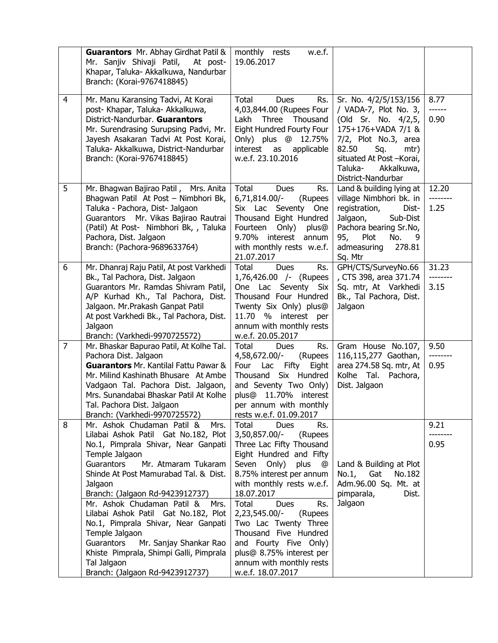|                | <b>Guarantors</b> Mr. Abhay Girdhat Patil &<br>Mr. Sanjiv Shivaji Patil, At post-<br>Khapar, Taluka- Akkalkuwa, Nandurbar<br>Branch: (Korai-9767418845)                                                                                                                                                                                                                                                                                                                                                                                            | monthly rests<br>w.e.f.<br>19.06.2017                                                                                                                                                                                                                                                                                                                                                                                 |                                                                                                                                                                                                                         |                           |
|----------------|----------------------------------------------------------------------------------------------------------------------------------------------------------------------------------------------------------------------------------------------------------------------------------------------------------------------------------------------------------------------------------------------------------------------------------------------------------------------------------------------------------------------------------------------------|-----------------------------------------------------------------------------------------------------------------------------------------------------------------------------------------------------------------------------------------------------------------------------------------------------------------------------------------------------------------------------------------------------------------------|-------------------------------------------------------------------------------------------------------------------------------------------------------------------------------------------------------------------------|---------------------------|
| $\overline{4}$ | Mr. Manu Karansing Tadvi, At Korai<br>post- Khapar, Taluka- Akkalkuwa,<br>District-Nandurbar. Guarantors<br>Mr. Surendrasing Surupsing Padvi, Mr.<br>Jayesh Asakaran Tadvi At Post Korai,<br>Taluka- Akkalkuwa, District-Nandurbar<br>Branch: (Korai-9767418845)                                                                                                                                                                                                                                                                                   | Total<br><b>Dues</b><br>Rs.<br>4,03,844.00 (Rupees Four<br>Three Thousand<br>Lakh<br>Eight Hundred Fourty Four<br>Only) plus @ 12.75%<br>interest as<br>applicable<br>w.e.f. 23.10.2016                                                                                                                                                                                                                               | Sr. No. 4/2/5/153/156<br>/ VADA-7, Plot No. 3,<br>(Old Sr. No. 4/2,5,<br>175+176+VADA 7/1 &<br>7/2, Plot No.3, area<br>82.50<br>Sq.<br>mtr)<br>situated At Post - Korai,<br>Taluka-<br>Akkalkuwa,<br>District-Nandurbar | 8.77<br>------<br>0.90    |
| 5              | Mr. Bhagwan Bajirao Patil, Mrs. Anita<br>Bhagwan Patil At Post - Nimbhori Bk,<br>Taluka - Pachora, Dist- Jalgaon<br>Guarantors Mr. Vikas Bajirao Rautrai<br>(Patil) At Post- Nimbhori Bk, , Taluka<br>Pachora, Dist. Jalgaon<br>Branch: (Pachora-9689633764)                                                                                                                                                                                                                                                                                       | Total<br>Dues<br>Rs.<br>6,71,814.00/-<br>(Rupees<br>Six Lac Seventy One<br>Thousand Eight Hundred<br>Only)<br>Fourteen<br>plus@<br>9.70% interest<br>annum<br>with monthly rests w.e.f.<br>21.07.2017                                                                                                                                                                                                                 | Land & building lying at<br>village Nimbhori bk. in<br>registration,<br>Dist-<br>Jalgaon,<br>Sub-Dist<br>Pachora bearing Sr.No,<br>Plot<br>No.<br>95,<br>9<br>admeasuring<br>278.81<br>Sq. Mtr                          | 12.20<br>--------<br>1.25 |
| 6              | Mr. Dhanraj Raju Patil, At post Varkhedi<br>Bk., Tal Pachora, Dist. Jalgaon<br>Guarantors Mr. Ramdas Shivram Patil,<br>A/P Kurhad Kh., Tal Pachora, Dist.<br>Jalgaon. Mr. Prakash Ganpat Patil<br>At post Varkhedi Bk., Tal Pachora, Dist.<br>Jalgaon<br>Branch: (Varkhedi-9970725572)                                                                                                                                                                                                                                                             | Total<br>Rs.<br><b>Dues</b><br>1,76,426.00 /- (Rupees<br>One Lac Seventy Six<br>Thousand Four Hundred<br>Twenty Six Only) plus@<br>11.70 % interest per<br>annum with monthly rests<br>w.e.f. 20.05.2017                                                                                                                                                                                                              | GPH/CTS/SurveyNo.66<br>, CTS 398, area 371.74<br>Sq. mtr, At Varkhedi<br>Bk., Tal Pachora, Dist.<br>Jalgaon                                                                                                             | 31.23<br>--------<br>3.15 |
| $\overline{7}$ | Mr. Bhaskar Bapurao Patil, At Kolhe Tal.<br>Pachora Dist. Jalgaon<br><b>Guarantors</b> Mr. Kantilal Fattu Pawar &<br>Mr. Milind Kashinath Bhusare At Ambe<br>Vadgaon Tal. Pachora Dist. Jalgaon,<br>Mrs. Sunandabai Bhaskar Patil At Kolhe<br>Tal. Pachora Dist. Jalgaon<br>Branch: (Varkhedi-9970725572)                                                                                                                                                                                                                                          | Total<br><b>Dues</b><br>Rs.<br>4,58,672.00/-<br>(Rupees<br>Lac Fifty<br>Eight<br>Four<br>Thousand Six Hundred<br>and Seventy Two Only)<br>plus@ 11.70% interest<br>per annum with monthly<br>rests w.e.f. 01.09.2017                                                                                                                                                                                                  | Gram House No.107,<br>116,115,277 Gaothan,<br>area 274.58 Sq. mtr, At<br>Kolhe Tal.<br>Pachora,<br>Dist. Jalgaon                                                                                                        | 9.50<br>0.95              |
| 8              | Mr. Ashok Chudaman Patil &<br>Mrs.<br>Lilabai Ashok Patil Gat No.182, Plot<br>No.1, Pimprala Shivar, Near Ganpati<br>Temple Jalgaon<br><b>Guarantors</b><br>Mr. Atmaram Tukaram<br>Shinde At Post Mamurabad Tal. & Dist.<br>Jalgaon<br>Branch: (Jalgaon Rd-9423912737)<br>Mr. Ashok Chudaman Patil &<br>Mrs.<br>Lilabai Ashok Patil Gat No.182, Plot<br>No.1, Pimprala Shivar, Near Ganpati<br>Temple Jalgaon<br>Guarantors<br>Mr. Sanjay Shankar Rao<br>Khiste Pimprala, Shimpi Galli, Pimprala<br>Tal Jalgaon<br>Branch: (Jalgaon Rd-9423912737) | Total<br>Dues<br>Rs.<br>3,50,857.00/-<br>(Rupees<br>Three Lac Fifty Thousand<br>Eight Hundred and Fifty<br>Seven Only)<br>plus<br>@<br>8.75% interest per annum<br>with monthly rests w.e.f.<br>18.07.2017<br>Total<br>Dues<br>Rs.<br>2,23,545.00/-<br>(Rupees<br>Two Lac Twenty Three<br>Thousand Five Hundred<br>and Fourty Five Only)<br>plus@ 8.75% interest per<br>annum with monthly rests<br>w.e.f. 18.07.2017 | Land & Building at Plot<br>No.1, Gat<br>No.182<br>Adm.96.00 Sq. Mt. at<br>pimparala,<br>Dist.<br>Jalgaon                                                                                                                | 9.21<br>0.95              |